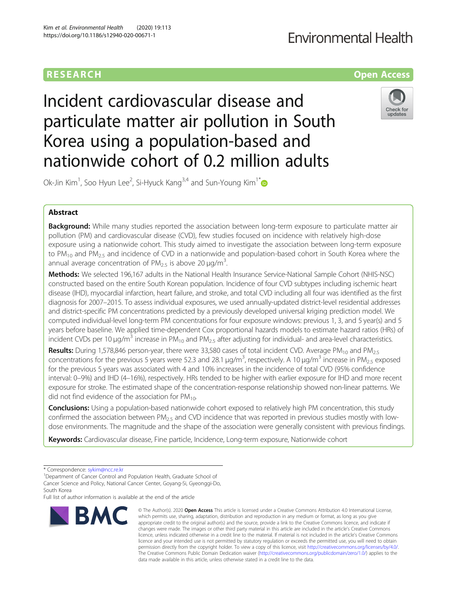## RESEARCH **RESEARCH CONSUMING ACCESS**

# **Fnvironmental Health**

Incident cardiovascular disease and particulate matter air pollution in South Korea using a population-based and nationwide cohort of 0.2 million adults



Ok-Jin Kim<sup>1</sup>, Soo Hyun Lee<sup>2</sup>, Si-Hyuck Kang $^{3,4}$  and Sun-Young Kim $^{1^\ast}$ 

### Abstract

**Background:** While many studies reported the association between long-term exposure to particulate matter air pollution (PM) and cardiovascular disease (CVD), few studies focused on incidence with relatively high-dose exposure using a nationwide cohort. This study aimed to investigate the association between long-term exposure to  $PM_{10}$  and  $PM_{2.5}$  and incidence of CVD in a nationwide and population-based cohort in South Korea where the annual average concentration of  $PM_{2.5}$  is above 20  $\mu$ g/m<sup>3</sup>. .

Methods: We selected 196,167 adults in the National Health Insurance Service-National Sample Cohort (NHIS-NSC) constructed based on the entire South Korean population. Incidence of four CVD subtypes including ischemic heart disease (IHD), myocardial infarction, heart failure, and stroke, and total CVD including all four was identified as the first diagnosis for 2007–2015. To assess individual exposures, we used annually-updated district-level residential addresses and district-specific PM concentrations predicted by a previously developed universal kriging prediction model. We computed individual-level long-term PM concentrations for four exposure windows: previous 1, 3, and 5 year(s) and 5 years before baseline. We applied time-dependent Cox proportional hazards models to estimate hazard ratios (HRs) of incident CVDs per 10 μg/m<sup>3</sup> increase in PM<sub>10</sub> and PM<sub>2.5</sub> after adjusting for individual- and area-level characteristics.

Results: During 1,578,846 person-year, there were 33,580 cases of total incident CVD. Average PM<sub>10</sub> and PM<sub>2.5</sub> concentrations for the previous 5 years were 52.3 and 28.1  $\mu$ g/m<sup>3</sup>, respectively. A 10  $\mu$ g/m<sup>3</sup> increase in PM<sub>2.5</sub> exposed for the previous 5 years was associated with 4 and 10% increases in the incidence of total CVD (95% confidence interval: 0–9%) and IHD (4–16%), respectively. HRs tended to be higher with earlier exposure for IHD and more recent exposure for stroke. The estimated shape of the concentration-response relationship showed non-linear patterns. We did not find evidence of the association for  $PM_{10}$ .

**Conclusions:** Using a population-based nationwide cohort exposed to relatively high PM concentration, this study confirmed the association between  $PM<sub>2.5</sub>$  and CVD incidence that was reported in previous studies mostly with lowdose environments. The magnitude and the shape of the association were generally consistent with previous findings.

Keywords: Cardiovascular disease, Fine particle, Incidence, Long-term exposure, Nationwide cohort

Full list of author information is available at the end of the article



<sup>©</sup> The Author(s), 2020 **Open Access** This article is licensed under a Creative Commons Attribution 4.0 International License, which permits use, sharing, adaptation, distribution and reproduction in any medium or format, as long as you give appropriate credit to the original author(s) and the source, provide a link to the Creative Commons licence, and indicate if changes were made. The images or other third party material in this article are included in the article's Creative Commons licence, unless indicated otherwise in a credit line to the material. If material is not included in the article's Creative Commons licence and your intended use is not permitted by statutory regulation or exceeds the permitted use, you will need to obtain permission directly from the copyright holder. To view a copy of this licence, visit [http://creativecommons.org/licenses/by/4.0/.](http://creativecommons.org/licenses/by/4.0/) The Creative Commons Public Domain Dedication waiver [\(http://creativecommons.org/publicdomain/zero/1.0/](http://creativecommons.org/publicdomain/zero/1.0/)) applies to the data made available in this article, unless otherwise stated in a credit line to the data.

<sup>\*</sup> Correspondence: [sykim@ncc.re.kr](mailto:sykim@ncc.re.kr) <sup>1</sup>

<sup>&</sup>lt;sup>1</sup>Department of Cancer Control and Population Health, Graduate School of Cancer Science and Policy, National Cancer Center, Goyang-Si, Gyeonggi-Do, South Korea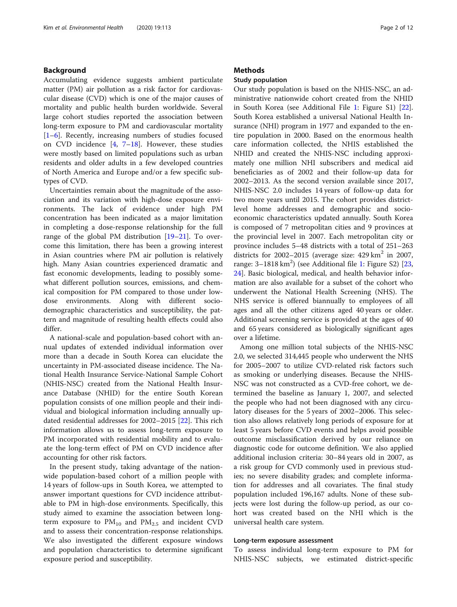### Background

Accumulating evidence suggests ambient particulate matter (PM) air pollution as a risk factor for cardiovascular disease (CVD) which is one of the major causes of mortality and public health burden worldwide. Several large cohort studies reported the association between long-term exposure to PM and cardiovascular mortality [[1](#page-10-0)–[6\]](#page-10-0). Recently, increasing numbers of studies focused on CVD incidence [[4,](#page-10-0) [7](#page-10-0)–[18](#page-10-0)]. However, these studies were mostly based on limited populations such as urban residents and older adults in a few developed countries of North America and Europe and/or a few specific subtypes of CVD.

Uncertainties remain about the magnitude of the association and its variation with high-dose exposure environments. The lack of evidence under high PM concentration has been indicated as a major limitation in completing a dose-response relationship for the full range of the global PM distribution [[19](#page-10-0)–[21](#page-10-0)]. To overcome this limitation, there has been a growing interest in Asian countries where PM air pollution is relatively high. Many Asian countries experienced dramatic and fast economic developments, leading to possibly somewhat different pollution sources, emissions, and chemical composition for PM compared to those under lowdose environments. Along with different sociodemographic characteristics and susceptibility, the pattern and magnitude of resulting health effects could also differ.

A national-scale and population-based cohort with annual updates of extended individual information over more than a decade in South Korea can elucidate the uncertainty in PM-associated disease incidence. The National Health Insurance Service-National Sample Cohort (NHIS-NSC) created from the National Health Insurance Database (NHID) for the entire South Korean population consists of one million people and their individual and biological information including annually updated residential addresses for 2002–2015 [\[22\]](#page-10-0). This rich information allows us to assess long-term exposure to PM incorporated with residential mobility and to evaluate the long-term effect of PM on CVD incidence after accounting for other risk factors.

In the present study, taking advantage of the nationwide population-based cohort of a million people with 14 years of follow-ups in South Korea, we attempted to answer important questions for CVD incidence attributable to PM in high-dose environments. Specifically, this study aimed to examine the association between longterm exposure to  $PM_{10}$  and  $PM_{2.5}$  and incident CVD and to assess their concentration-response relationships. We also investigated the different exposure windows and population characteristics to determine significant exposure period and susceptibility.

### **Methods**

### Study population

Our study population is based on the NHIS-NSC, an administrative nationwide cohort created from the NHID in South Korea (see Additional File [1:](#page-9-0) Figure S1) [\[22](#page-10-0)]. South Korea established a universal National Health Insurance (NHI) program in 1977 and expanded to the entire population in 2000. Based on the enormous health care information collected, the NHIS established the NHID and created the NHIS-NSC including approximately one million NHI subscribers and medical aid beneficiaries as of 2002 and their follow-up data for 2002–2013. As the second version available since 2017, NHIS-NSC 2.0 includes 14 years of follow-up data for two more years until 2015. The cohort provides districtlevel home addresses and demographic and socioeconomic characteristics updated annually. South Korea is composed of 7 metropolitan cities and 9 provinces at the provincial level in 2007. Each metropolitan city or province includes 5–48 districts with a total of 251–263 districts for  $2002-2015$  (average size:  $429 \text{ km}^2$  in  $2007$ , range: 3-[1](#page-9-0)818 km<sup>2</sup>) (see Additional file 1: Figure S2) [[23](#page-10-0), [24\]](#page-10-0). Basic biological, medical, and health behavior information are also available for a subset of the cohort who underwent the National Health Screening (NHS). The NHS service is offered biannually to employees of all ages and all the other citizens aged 40 years or older. Additional screening service is provided at the ages of 40 and 65 years considered as biologically significant ages over a lifetime.

Among one million total subjects of the NHIS-NSC 2.0, we selected 314,445 people who underwent the NHS for 2005–2007 to utilize CVD-related risk factors such as smoking or underlying diseases. Because the NHIS-NSC was not constructed as a CVD-free cohort, we determined the baseline as January 1, 2007, and selected the people who had not been diagnosed with any circulatory diseases for the 5 years of 2002–2006. This selection also allows relatively long periods of exposure for at least 5 years before CVD events and helps avoid possible outcome misclassification derived by our reliance on diagnostic code for outcome definition. We also applied additional inclusion criteria: 30–84 years old in 2007, as a risk group for CVD commonly used in previous studies; no severe disability grades; and complete information for addresses and all covariates. The final study population included 196,167 adults. None of these subjects were lost during the follow-up period, as our cohort was created based on the NHI which is the universal health care system.

#### Long-term exposure assessment

To assess individual long-term exposure to PM for NHIS-NSC subjects, we estimated district-specific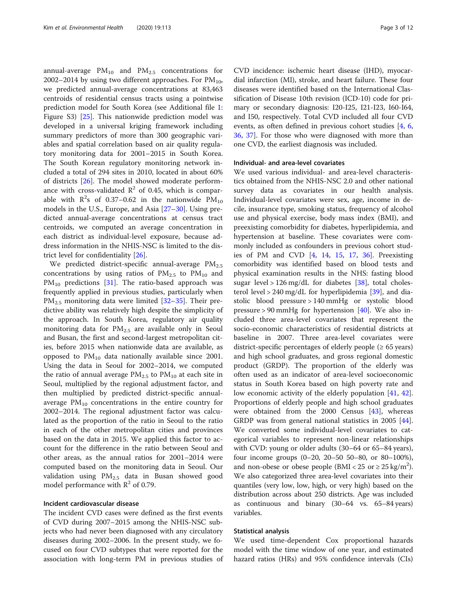annual-average  $PM_{10}$  and  $PM_{2.5}$  concentrations for 2002–2014 by using two different approaches. For  $PM_{10}$ , we predicted annual-average concentrations at 83,463 centroids of residential census tracts using a pointwise prediction model for South Korea (see Additional file [1](#page-9-0): Figure S3) [[25](#page-10-0)]. This nationwide prediction model was developed in a universal kriging framework including summary predictors of more than 300 geographic variables and spatial correlation based on air quality regulatory monitoring data for 2001–2015 in South Korea. The South Korean regulatory monitoring network included a total of 294 sites in 2010, located in about 60% of districts [\[26\]](#page-10-0). The model showed moderate performance with cross-validated  $\mathbb{R}^2$  of 0.45, which is comparable with  $R^2$ s of 0.37–0.62 in the nationwide  $PM_{10}$ models in the U.S., Europe, and Asia [\[27](#page-10-0)–[30\]](#page-11-0). Using predicted annual-average concentrations at census tract centroids, we computed an average concentration in each district as individual-level exposure, because address information in the NHIS-NSC is limited to the district level for confidentiality [[26\]](#page-10-0).

We predicted district-specific annual-average  $PM_{2.5}$ concentrations by using ratios of  $PM_{2.5}$  to  $PM_{10}$  and  $PM_{10}$  predictions [[31](#page-11-0)]. The ratio-based approach was frequently applied in previous studies, particularly when  $PM_{2.5}$  monitoring data were limited [[32](#page-11-0)–[35\]](#page-11-0). Their predictive ability was relatively high despite the simplicity of the approach. In South Korea, regulatory air quality monitoring data for  $PM_{2.5}$  are available only in Seoul and Busan, the first and second-largest metropolitan cities, before 2015 when nationwide data are available, as opposed to  $PM_{10}$  data nationally available since 2001. Using the data in Seoul for 2002–2014, we computed the ratio of annual average  $PM_{2.5}$  to  $PM_{10}$  at each site in Seoul, multiplied by the regional adjustment factor, and then multiplied by predicted district-specific annualaverage  $PM_{10}$  concentrations in the entire country for 2002–2014. The regional adjustment factor was calculated as the proportion of the ratio in Seoul to the ratio in each of the other metropolitan cities and provinces based on the data in 2015. We applied this factor to account for the difference in the ratio between Seoul and other areas, as the annual ratios for 2001–2014 were computed based on the monitoring data in Seoul. Our validation using  $PM_{2.5}$  data in Busan showed good model performance with  $R^2$  of 0.79.

### Incident cardiovascular disease

The incident CVD cases were defined as the first events of CVD during 2007–2015 among the NHIS-NSC subjects who had never been diagnosed with any circulatory diseases during 2002–2006. In the present study, we focused on four CVD subtypes that were reported for the association with long-term PM in previous studies of

CVD incidence: ischemic heart disease (IHD), myocardial infarction (MI), stroke, and heart failure. These four diseases were identified based on the International Classification of Disease 10th revision (ICD-10) code for primary or secondary diagnosis: I20-I25, I21-I23, I60-I64, and I50, respectively. Total CVD included all four CVD events, as often defined in previous cohort studies [[4,](#page-10-0) [6](#page-10-0), [36,](#page-11-0) [37\]](#page-11-0). For those who were diagnosed with more than one CVD, the earliest diagnosis was included.

#### Individual- and area-level covariates

We used various individual- and area-level characteristics obtained from the NHIS-NSC 2.0 and other national survey data as covariates in our health analysis. Individual-level covariates were sex, age, income in decile, insurance type, smoking status, frequency of alcohol use and physical exercise, body mass index (BMI), and preexisting comorbidity for diabetes, hyperlipidemia, and hypertension at baseline. These covariates were commonly included as confounders in previous cohort studies of PM and CVD [\[4](#page-10-0), [14,](#page-10-0) [15,](#page-10-0) [17,](#page-10-0) [36](#page-11-0)]. Preexisting comorbidity was identified based on blood tests and physical examination results in the NHS: fasting blood sugar level > 126 mg/dL for diabetes  $[38]$  $[38]$ , total cholesterol level > 240 mg/dL for hyperlipidemia  $[39]$  $[39]$ , and diastolic blood pressure > 140 mmHg or systolic blood pressure > 90 mmHg for hypertension [\[40\]](#page-11-0). We also included three area-level covariates that represent the socio-economic characteristics of residential districts at baseline in 2007. Three area-level covariates were district-specific percentages of elderly people  $(≥ 65 \text{ years})$ and high school graduates, and gross regional domestic product (GRDP). The proportion of the elderly was often used as an indicator of area-level socioeconomic status in South Korea based on high poverty rate and low economic activity of the elderly population [[41,](#page-11-0) [42](#page-11-0)]. Proportions of elderly people and high school graduates were obtained from the  $2000$  Census  $[43]$  $[43]$ , whereas GRDP was from general national statistics in 2005 [\[44](#page-11-0)]. We converted some individual-level covariates to categorical variables to represent non-linear relationships with CVD: young or older adults (30–64 or 65–84 years), four income groups (0–20, 20–50 50–80, or 80–100%), and non-obese or obese people (BMI <  $25$  or  $\geq 25$  kg/m<sup>2</sup>). We also categorized three area-level covariates into their quantiles (very low, low, high, or very high) based on the distribution across about 250 districts. Age was included as continuous and binary (30–64 vs. 65–84 years) variables.

### Statistical analysis

We used time-dependent Cox proportional hazards model with the time window of one year, and estimated hazard ratios (HRs) and 95% confidence intervals (CIs)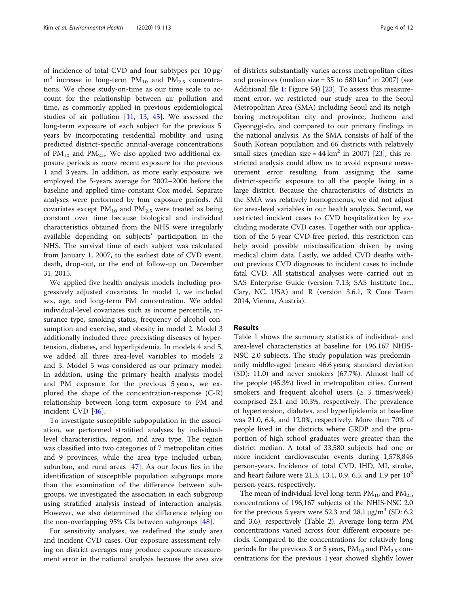of incidence of total CVD and four subtypes per 10 μg/  $m<sup>3</sup>$  increase in long-term PM<sub>10</sub> and PM<sub>2.5</sub> concentrations. We chose study-on-time as our time scale to account for the relationship between air pollution and time, as commonly applied in previous epidemiological studies of air pollution [[11](#page-10-0), [13,](#page-10-0) [45\]](#page-11-0). We assessed the long-term exposure of each subject for the previous 5 years by incorporating residential mobility and using predicted district-specific annual-average concentrations of  $PM_{10}$  and  $PM_{2.5}$ . We also applied two additional exposure periods as more recent exposure for the previous 1 and 3 years. In addition, as more early exposure, we employed the 5-years average for 2002–2006 before the baseline and applied time-constant Cox model. Separate analyses were performed by four exposure periods. All covariates except  $PM_{10}$  and  $PM_{2.5}$  were treated as being constant over time because biological and individual characteristics obtained from the NHS were irregularly available depending on subjects' participation in the NHS. The survival time of each subject was calculated from January 1, 2007, to the earliest date of CVD event, death, drop-out, or the end of follow-up on December 31, 2015.

We applied five health analysis models including progressively adjusted covariates. In model 1, we included sex, age, and long-term PM concentration. We added individual-level covariates such as income percentile, insurance type, smoking status, frequency of alcohol consumption and exercise, and obesity in model 2. Model 3 additionally included three preexisting diseases of hypertension, diabetes, and hyperlipidemia. In models 4 and 5, we added all three area-level variables to models 2 and 3. Model 5 was considered as our primary model. In addition, using the primary health analysis model and PM exposure for the previous 5 years, we explored the shape of the concentration-response (C-R) relationship between long-term exposure to PM and incident CVD [\[46](#page-11-0)].

To investigate susceptible subpopulation in the association, we performed stratified analyses by individuallevel characteristics, region, and area type. The region was classified into two categories of 7 metropolitan cities and 9 provinces, while the area type included urban, suburban, and rural areas  $[47]$  $[47]$ . As our focus lies in the identification of susceptible population subgroups more than the examination of the difference between subgroups, we investigated the association in each subgroup using stratified analysis instead of interaction analysis. However, we also determined the difference relying on the non-overlapping 95% CIs between subgroups [[48\]](#page-11-0).

For sensitivity analyses, we redefined the study area and incident CVD cases. Our exposure assessment relying on district averages may produce exposure measurement error in the national analysis because the area size of districts substantially varies across metropolitan cities and provinces (median size =  $35$  to  $580 \text{ km}^2$  in 2007) (see Additional file [1:](#page-9-0) Figure S4) [[23\]](#page-10-0). To assess this measurement error, we restricted our study area to the Seoul Metropolitan Area (SMA) including Seoul and its neighboring metropolitan city and province, Incheon and Gyeonggi-do, and compared to our primary findings in the national analysis. As the SMA consists of half of the South Korean population and 66 districts with relatively small sizes (median size =  $44 \text{ km}^2$  in 2007) [\[23\]](#page-10-0), this restricted analysis could allow us to avoid exposure measurement error resulting from assigning the same district-specific exposure to all the people living in a large district. Because the characteristics of districts in the SMA was relatively homogeneous, we did not adjust for area-level variables in our health analysis. Second, we restricted incident cases to CVD hospitalization by excluding moderate CVD cases. Together with our application of the 5-year CVD-free period, this restriction can help avoid possible misclassification driven by using medical claim data. Lastly, we added CVD deaths without previous CVD diagnoses to incident cases to include fatal CVD. All statistical analyses were carried out in SAS Enterprise Guide (version 7.13; SAS Institute Inc., Cary, NC, USA) and R (version 3.6.1, R Core Team 2014, Vienna, Austria).

#### Results

Table [1](#page-4-0) shows the summary statistics of individual- and area-level characteristics at baseline for 196,167 NHIS-NSC 2.0 subjects. The study population was predominantly middle-aged (mean: 46.6 years; standard deviation (SD): 11.0) and never smokers (67.7%). Almost half of the people (45.3%) lived in metropolitan cities. Current smokers and frequent alcohol users  $(\geq 3$  times/week) comprised 23.1 and 10.3%, respectively. The prevalence of hypertension, diabetes, and hyperlipidemia at baseline was 21.0, 6.4, and 12.0%, respectively. More than 70% of people lived in the districts where GRDP and the proportion of high school graduates were greater than the district median. A total of 33,580 subjects had one or more incident cardiovascular events during 1,578,846 person-years. Incidence of total CVD, IHD, MI, stroke, and heart failure were 21.3, 13.1, 0.9, 6.5, and 1.9 per  $10^3$ person-years, respectively.

The mean of individual-level long-term  $PM_{10}$  and  $PM_{2.5}$ concentrations of 196,167 subjects of the NHIS-NSC 2.0 for the previous 5 years were 52.3 and 28.1  $\mu$ g/m<sup>3</sup> (SD: 6.2) and 3.6), respectively (Table [2](#page-5-0)). Average long-term PM concentrations varied across four different exposure periods. Compared to the concentrations for relatively long periods for the previous 3 or 5 years,  $PM_{10}$  and  $PM_{2.5}$  concentrations for the previous 1 year showed slightly lower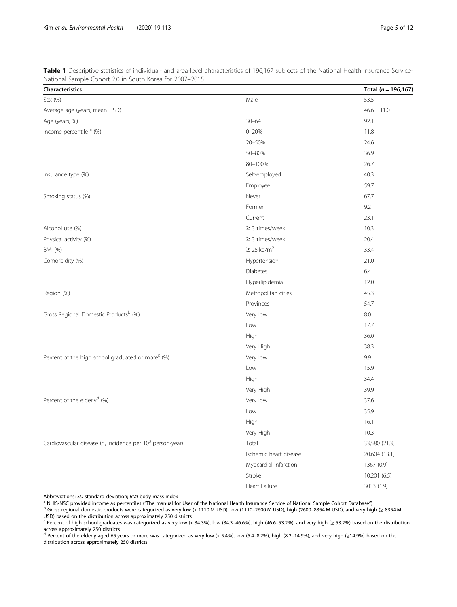| <b>Characteristics</b>                                                |                             | Total $(n = 196, 167)$ |
|-----------------------------------------------------------------------|-----------------------------|------------------------|
| Sex (%)                                                               | Male                        | 53.5                   |
| Average age (years, mean $\pm$ SD)                                    |                             | $46.6 \pm 11.0$        |
| Age (years, %)                                                        | $30 - 64$                   | 92.1                   |
| Income percentile <sup>a</sup> (%)                                    | $0 - 20%$                   | 11.8                   |
|                                                                       | 20-50%                      | 24.6                   |
|                                                                       | 50-80%                      | 36.9                   |
|                                                                       | 80-100%                     | 26.7                   |
| Insurance type (%)                                                    | Self-employed               | 40.3                   |
|                                                                       | Employee                    | 59.7                   |
| Smoking status (%)                                                    | Never                       | 67.7                   |
|                                                                       | Former                      | 9.2                    |
|                                                                       | Current                     | 23.1                   |
| Alcohol use (%)                                                       | $\geq$ 3 times/week         | 10.3                   |
| Physical activity (%)                                                 | $\geq$ 3 times/week         | 20.4                   |
| BMI (%)                                                               | $\geq$ 25 kg/m <sup>2</sup> | 33.4                   |
| Comorbidity (%)                                                       | Hypertension                | 21.0                   |
|                                                                       | <b>Diabetes</b>             | 6.4                    |
|                                                                       | Hyperlipidemia              | 12.0                   |
| Region (%)                                                            | Metropolitan cities         | 45.3                   |
|                                                                       | Provinces                   | 54.7                   |
| Gross Regional Domestic Products <sup>b</sup> (%)                     | Very low                    | 8.0                    |
|                                                                       | Low                         | 17.7                   |
|                                                                       | High                        | 36.0                   |
|                                                                       | Very High                   | 38.3                   |
| Percent of the high school graduated or more <sup>c</sup> (%)         | Very low                    | 9.9                    |
|                                                                       | Low                         | 15.9                   |
|                                                                       | High                        | 34.4                   |
|                                                                       | Very High                   | 39.9                   |
| Percent of the elderly <sup>d</sup> (%)                               | Very low                    | 37.6                   |
|                                                                       | Low                         | 35.9                   |
|                                                                       | High                        | 16.1                   |
|                                                                       | Very High                   | 10.3                   |
| Cardiovascular disease (n, incidence per 10 <sup>3</sup> person-year) | Total                       | 33,580 (21.3)          |
|                                                                       | Ischemic heart disease      | 20,604 (13.1)          |
|                                                                       | Myocardial infarction       | 1367 (0.9)             |
|                                                                       | Stroke                      | 10,201 (6.5)           |
|                                                                       | Heart Failure               | 3033 (1.9)             |

<span id="page-4-0"></span>Table 1 Descriptive statistics of individual- and area-level characteristics of 196,167 subjects of the National Health Insurance Service-National Sample Cohort 2.0 in South Korea for 2007–2015

Abbreviations: SD standard deviation; BMI body mass index<br><sup>a</sup> NHIS-NSC provided income as percentiles ("The manual for User of the National Health Insurance Service of National Sample Cohort Database")<br><sup>b</sup> Gross regional USD) based on the distribution across approximately 250 districts

 $\epsilon$  Percent of high school graduates was categorized as very low (< 34.3%), low (34.3–46.6%), high (46.6–53.2%), and very high (≥ 53.2%) based on the distribution across approximately 250 districts<br><sup>d</sup> Percent of the elderly aged 65 years or more was categorized as very low (< 5.4%), low (5.4–8.2%), high (8.2–14.9%), and very high (≥14.9%) based on the

distribution across approximately 250 districts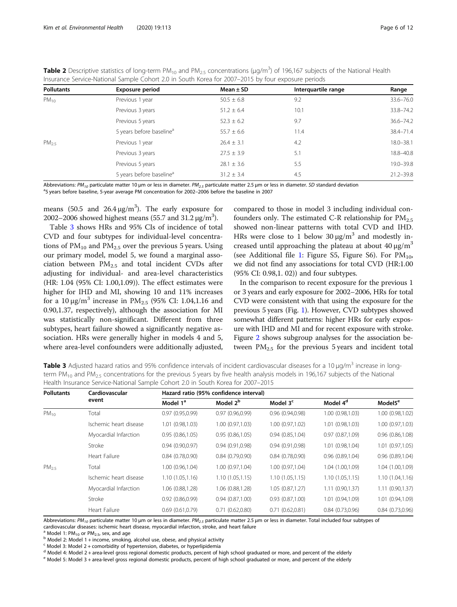| <b>Pollutants</b> | <b>Exposure period</b>               | Mean $\pm$ SD  | Interquartile range | Range         |
|-------------------|--------------------------------------|----------------|---------------------|---------------|
| $PM_{10}$         | Previous 1 year                      | $50.5 \pm 6.8$ | 9.2                 | 33.6-76.0     |
|                   | Previous 3 years                     | $51.2 \pm 6.4$ | 10.1                | 33.8-74.2     |
|                   | Previous 5 years                     | $52.3 \pm 6.2$ | 9.7                 | 36.6-74.2     |
|                   | 5 years before baseline <sup>a</sup> | $55.7 \pm 6.6$ | 11.4                | 38.4-71.4     |
| $PM_{25}$         | Previous 1 year                      | $26.4 \pm 3.1$ | 4.2                 | 18.0-38.1     |
|                   | Previous 3 years                     | $27.5 \pm 3.9$ | 5.1                 | 18.8-40.8     |
|                   | Previous 5 years                     | $28.1 \pm 3.6$ | 5.5                 | 19.0-39.8     |
|                   | 5 years before baseline <sup>a</sup> | $31.2 \pm 3.4$ | 4.5                 | $21.2 - 39.8$ |

<span id="page-5-0"></span>**Table 2** Descriptive statistics of long-term PM<sub>10</sub> and PM<sub>2.5</sub> concentrations (µg/m<sup>3</sup>) of 196,167 subjects of the National Health Insurance Service-National Sample Cohort 2.0 in South Korea for 2007–2015 by four exposure periods

Abbreviations: PM<sub>10</sub> particulate matter 10 µm or less in diameter. PM<sub>2.5</sub> particulate matter 2.5 µm or less in diameter. SD standard deviation

5 years before baseline, 5-year average PM concentration for 2002–2006 before the baseline in 2007

means (50.5 and  $26.4 \,\mathrm{\upmu g/m^3}$ ). The early exposure for 2002–2006 showed highest means (55.7 and 31.2  $\mu$ g/m<sup>3</sup>).

Table 3 shows HRs and 95% CIs of incidence of total CVD and four subtypes for individual-level concentrations of  $PM_{10}$  and  $PM_{2.5}$  over the previous 5 years. Using our primary model, model 5, we found a marginal association between  $PM<sub>2.5</sub>$  and total incident CVDs after adjusting for individual- and area-level characteristics (HR: 1.04 (95% CI: 1.00,1.09)). The effect estimates were higher for IHD and MI, showing 10 and 11% increases for a 10 μg/m<sup>3</sup> increase in PM<sub>2.5</sub> (95% CI: 1.04,1.16 and 0.90,1.37, respectively), although the association for MI was statistically non-significant. Different from three subtypes, heart failure showed a significantly negative association. HRs were generally higher in models 4 and 5, where area-level confounders were additionally adjusted, compared to those in model 3 including individual confounders only. The estimated C-R relationship for  $PM_{2.5}$ showed non-linear patterns with total CVD and IHD. HRs were close to 1 below 30  $\mu$ g/m<sup>3</sup> and modestly increased until approaching the plateau at about  $40 \mu g/m^3$ (see Additional file [1:](#page-9-0) Figure S5, Figure S6). For  $PM_{10}$ , we did not find any associations for total CVD (HR:1.00 (95% CI: 0.98,1. 02)) and four subtypes.

In the comparison to recent exposure for the previous 1 or 3 years and early exposure for 2002–2006, HRs for total CVD were consistent with that using the exposure for the previous 5 years (Fig. [1](#page-6-0)). However, CVD subtypes showed somewhat different patterns: higher HRs for early exposure with IHD and MI and for recent exposure with stroke. Figure [2](#page-7-0) shows subgroup analyses for the association between  $PM_{2.5}$  for the previous 5 years and incident total

**Table 3** Adjusted hazard ratios and 95% confidence intervals of incident cardiovascular diseases for a 10 μg/m<sup>3</sup> increase in longterm PM<sub>10</sub> and PM<sub>2.5</sub> concentrations for the previous 5 years by five health analysis models in 196,167 subjects of the National Health Insurance Service-National Sample Cohort 2.0 in South Korea for 2007–2015

| <b>Pollutants</b> | Cardiovascular<br>event | Hazard ratio (95% confidence interval) |                      |                      |                      |                     |
|-------------------|-------------------------|----------------------------------------|----------------------|----------------------|----------------------|---------------------|
|                   |                         | Model 1 <sup>a</sup>                   | Model 2 <sup>b</sup> | Model 3 <sup>c</sup> | Model 4 <sup>d</sup> | Model5 <sup>e</sup> |
| $PM_{10}$         | Total                   | 0.97(0.95,0.99)                        | 0.97(0.96,0.99)      | 0.96(0.94,0.98)      | 1.00 (0.98,1.03)     | 1.00 (0.98,1.02)    |
|                   | Ischemic heart disease  | 1.01 (0.98,1.03)                       | 1.00 (0.97,1.03)     | 1.00 (0.97,1.02)     | 1.01(0.98, 1.03)     | 1.00 (0.97,1.03)    |
|                   | Myocardial Infarction   | 0.95(0.86, 1.05)                       | 0.95(0.86, 1.05)     | 0.94(0.85,1.04)      | 0.97(0.87,1.09)      | 0.96(0.86, 1.08)    |
|                   | Stroke                  | 0.94(0.90, 0.97)                       | 0.94(0.91,0.98)      | 0.94(0.91,0.98)      | 1.01 (0.98,1.04)     | 1.01(0.97,1.05)     |
|                   | Heart Failure           | 0.84(0.78,0.90)                        | 0.84(0.79,0.90)      | 0.84(0.78,0.90)      | 0.96(0.89,1.04)      | 0.96(0.89, 1.04)    |
| PM <sub>25</sub>  | Total                   | 1.00 (0.96,1.04)                       | 1.00 (0.97,1.04)     | 1.00(0.97,1.04)      | 1.04 (1.00,1.09)     | 1.04 (1.00,1.09)    |
|                   | Ischemic heart disease  | 1.10(1.05, 1.16)                       | 1.10(1.05, 1.15)     | 1.10(1.05,1.15)      | 1.10(1.05, 1.15)     | 1.10(1.04, 1.16)    |
|                   | Myocardial Infarction   | 1.06 (0.88,1.28)                       | 1.06 (0.88,1.28)     | 1.05(0.87,1.27)      | 1.11(0.90, 1.37)     | 1.11(0.90, 1.37)    |
|                   | Stroke                  | 0.92(0.86, 0.99)                       | 0.94(0.87,1.00)      | 0.93(0.87,1.00)      | 1.01 (0.94,1.09)     | 1.01 (0.94,1.09)    |
|                   | Heart Failure           | 0.69(0.61, 0.79)                       | 0.71(0.62,0.80)      | 0.71(0.62,0.81)      | 0.84(0.73,0.96)      | 0.84(0.73,0.96)     |

Abbreviations: PM<sub>10</sub> particulate matter 10 µm or less in diameter. PM<sub>2.5</sub> particulate matter 2.5 µm or less in diameter. Total included four subtypes of cardiovascular diseases: ischemic heart disease, myocardial infarction, stroke, and heart failure

<sup>a</sup> Model 1: PM<sub>10</sub> or PM<sub>2.5</sub>, sex, and age<br><sup>b</sup> Model 2: Model 1 + income, smoking, alcohol use, obese, and physical activity

 $\epsilon$  Model 3: Model 2 + comorbidity of hypertension, diabetes, or hyperlipidemia

<sup>d</sup> Model 4: Model 2 + area-level gross regional domestic products, percent of high school graduated or more, and percent of the elderly

<sup>e</sup> Model 5: Model 3 + area-level gross regional domestic products, percent of high school graduated or more, and percent of the elderly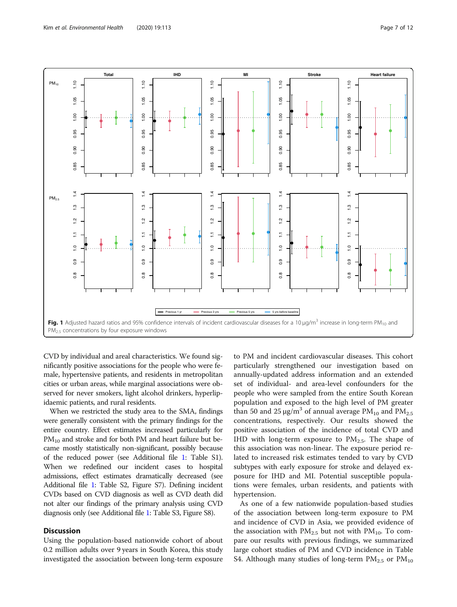<span id="page-6-0"></span>

CVD by individual and areal characteristics. We found significantly positive associations for the people who were female, hypertensive patients, and residents in metropolitan cities or urban areas, while marginal associations were observed for never smokers, light alcohol drinkers, hyperlipidaemic patients, and rural residents.

When we restricted the study area to the SMA, findings were generally consistent with the primary findings for the entire country. Effect estimates increased particularly for  $PM_{10}$  and stroke and for both PM and heart failure but became mostly statistically non-significant, possibly because of the reduced power (see Additional file [1](#page-9-0): Table S1). When we redefined our incident cases to hospital admissions, effect estimates dramatically decreased (see Additional file [1](#page-9-0): Table S2, Figure S7). Defining incident CVDs based on CVD diagnosis as well as CVD death did not alter our findings of the primary analysis using CVD diagnosis only (see Additional file [1](#page-9-0): Table S3, Figure S8).

### **Discussion**

Using the population-based nationwide cohort of about 0.2 million adults over 9 years in South Korea, this study investigated the association between long-term exposure

to PM and incident cardiovascular diseases. This cohort particularly strengthened our investigation based on annually-updated address information and an extended set of individual- and area-level confounders for the people who were sampled from the entire South Korean population and exposed to the high level of PM greater than 50 and 25  $\mu$ g/m<sup>3</sup> of annual average PM<sub>10</sub> and PM<sub>2.5</sub> concentrations, respectively. Our results showed the positive association of the incidence of total CVD and IHD with long-term exposure to  $PM_{2.5}$ . The shape of this association was non-linear. The exposure period related to increased risk estimates tended to vary by CVD subtypes with early exposure for stroke and delayed exposure for IHD and MI. Potential susceptible populations were females, urban residents, and patients with hypertension.

As one of a few nationwide population-based studies of the association between long-term exposure to PM and incidence of CVD in Asia, we provided evidence of the association with  $PM_{2.5}$  but not with  $PM_{10}$ . To compare our results with previous findings, we summarized large cohort studies of PM and CVD incidence in Table S4. Although many studies of long-term  $PM_{2.5}$  or  $PM_{10}$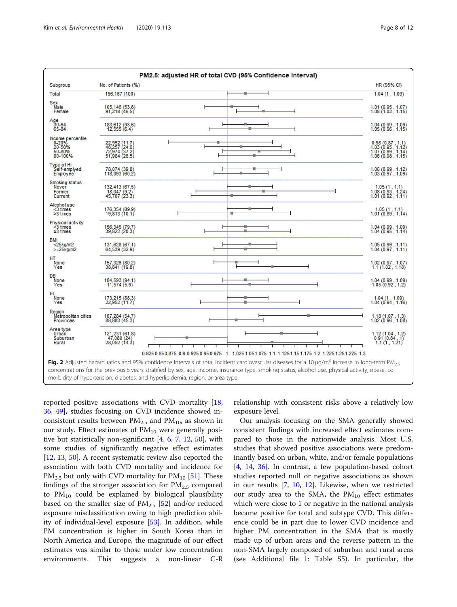<span id="page-7-0"></span>

| PM2.5: adjusted HR of total CVD (95% Confidence Interval)                                                                                                                                                                           |                                                                  |   |  |                                                                                                             |
|-------------------------------------------------------------------------------------------------------------------------------------------------------------------------------------------------------------------------------------|------------------------------------------------------------------|---|--|-------------------------------------------------------------------------------------------------------------|
| Subgroup                                                                                                                                                                                                                            | No. of Patients (%)                                              |   |  | HR (95% CI)                                                                                                 |
| Total                                                                                                                                                                                                                               | 196,167 (100)                                                    |   |  | 1.04(1, 1.09)                                                                                               |
| Sex<br>Male<br>Female                                                                                                                                                                                                               | 105,146 (53.6)<br>91,218 (46.5)                                  |   |  | 1.01 (0.95, 1.07)<br>1.08 (1.02, 1.15)                                                                      |
| Age<br>30-64<br>65-84                                                                                                                                                                                                               | 183,612 (93.6)<br>12,555 (6.4)                                   |   |  | 1.04 (0.99, 1.09)<br>1.05 (0.96, 1.15)                                                                      |
| Income percentile<br>0-20%<br>20-50%<br>50-80%<br>80-100%                                                                                                                                                                           | 22,952 (11.7)<br>48,257 (24.6)<br>72,974 (37.2)<br>51,984 (26.5) | л |  | 0.98 (0.87, 1.1)<br>1.03 (0.95, 1.12)<br>1.07 (0.99, 1.14)<br>1.06 (0.98, 1.15)                             |
| Type of HI<br>Self-emplyed<br>Employee                                                                                                                                                                                              | 78,074 (39.8)<br>118,093 (60.2)                                  |   |  | 1.06 (0.99, 1.12)<br>1.03 (0.97, 1.09)                                                                      |
| Smoking status<br>Never<br>Former<br>Current                                                                                                                                                                                        | 132,413 (67.5)<br>18,047 (9.2)<br>45,707 (23.3)                  |   |  | $\begin{array}{c} 1.05 \ (1 \ , \ 1.1) \\ 1.08 \ (0.93 \ , \ 1.24) \\ 1.01 \ (0.92 \ , \ 1.11) \end{array}$ |
| Alcohol use<br><3 times<br>≥3 times                                                                                                                                                                                                 | 176, 354 (89.9)<br>19, 813 (10.1)                                |   |  | $1.05(1, 1.1)$<br>$1.01(0.89, 1.14)$                                                                        |
| Physical activity<br><3 times<br>≥3 times                                                                                                                                                                                           | 156, 345 (79.7)<br>39, 822 (20.3)                                |   |  | 1.04 (0.99, 1.09)<br>1.04 (0.95, 1.14)                                                                      |
| <b>BMI</b><br>$<$ 25kg/m2<br>$>=25$ ka/m2                                                                                                                                                                                           | 131,628 (67.1)<br>64,539 (32.9)                                  |   |  | 1.05(0.99, 1.11)<br>1.04(0.97, 1.11)                                                                        |
| HT<br>None<br>Yes                                                                                                                                                                                                                   | 157,326 (80.2)<br>38,841 (19.8)                                  |   |  | 1.02 (0.97, 1.07)<br>1.1 (1.02, 1.18)                                                                       |
| DB<br>None<br>Yes                                                                                                                                                                                                                   | 184,593 (94.1)<br>11,574 (5.9)                                   |   |  | 1.04 (0.99, 1.09)<br>1.05 (0.92, 1.2)                                                                       |
| <b>HL</b><br>None<br>Yes                                                                                                                                                                                                            | 173,215 (88.3)<br>22,952 (11.7)                                  |   |  | $1.04(1, 1.09)$<br>$1.04(0.94, 1.16)$                                                                       |
| Region<br>Metropolitan cities<br>Provinces                                                                                                                                                                                          | 107,284 (54.7)<br>88,883 (45.3)                                  |   |  | 1.18 (1.07, 1.3)<br>1.02 (0.96, 1.08)                                                                       |
| Area type<br>Urban<br>Suburban<br>Rural                                                                                                                                                                                             | 121,231 (61.8)<br>47,080 (24)<br>28,052 (14.3)                   |   |  | 1.12(1.04, 1.2)<br>0.91(0.84, 1)<br>1.1(1, 1.21)                                                            |
| 0.825 0.85 0.875 0.9 0.925 0.95 0.975 1 1.025 1.05 1.075 1.1 1.125 1.15 1.175 1.2 1.225 1.25 1.275 1.3                                                                                                                              |                                                                  |   |  |                                                                                                             |
| Fig. 2 Adjusted hazard ratios and 95% confidence intervals of total incident cardiovascular diseases for a 10 $\mu q/m^3$ increase in long-term PM <sub>2.5</sub>                                                                   |                                                                  |   |  |                                                                                                             |
| concentrations for the previous 5 years stratified by sex, age, income, insurance type, smoking status, alcohol use, physical activity, obese, co-<br>morbidity of hypertension, diabetes, and hyperlipidemia, region, or area type |                                                                  |   |  |                                                                                                             |
|                                                                                                                                                                                                                                     |                                                                  |   |  |                                                                                                             |

reported positive associations with CVD mortality [[18](#page-10-0), [36,](#page-11-0) [49](#page-11-0)], studies focusing on CVD incidence showed inconsistent results between  $PM_{2.5}$  and  $PM_{10}$ , as shown in our study. Effect estimates of  $PM_{10}$  were generally positive but statistically non-significant [[4,](#page-10-0) [6,](#page-10-0) [7](#page-10-0), [12,](#page-10-0) [50\]](#page-11-0), with some studies of significantly negative effect estimates [[12,](#page-10-0) [13,](#page-10-0) [50\]](#page-11-0). A recent systematic review also reported the association with both CVD mortality and incidence for  $PM_{2.5}$  but only with CVD mortality for  $PM_{10}$  [[51\]](#page-11-0). These findings of the stronger association for  $PM_{2.5}$  compared to  $PM_{10}$  could be explained by biological plausibility based on the smaller size of  $PM_{2.5}$  [[52\]](#page-11-0) and/or reduced exposure misclassification owing to high prediction ability of individual-level exposure [\[53](#page-11-0)]. In addition, while PM concentration is higher in South Korea than in North America and Europe, the magnitude of our effect estimates was similar to those under low concentration environments. This suggests a non-linear C-R

relationship with consistent risks above a relatively low exposure level.

Our analysis focusing on the SMA generally showed consistent findings with increased effect estimates compared to those in the nationwide analysis. Most U.S. studies that showed positive associations were predominantly based on urban, white, and/or female populations [[4,](#page-10-0) [14](#page-10-0), [36\]](#page-11-0). In contrast, a few population-based cohort studies reported null or negative associations as shown in our results [[7,](#page-10-0) [10,](#page-10-0) [12](#page-10-0)]. Likewise, when we restricted our study area to the SMA, the  $PM_{10}$  effect estimates which were close to 1 or negative in the national analysis became positive for total and subtype CVD. This difference could be in part due to lower CVD incidence and higher PM concentration in the SMA that is mostly made up of urban areas and the reverse pattern in the non-SMA largely composed of suburban and rural areas (see Additional file [1](#page-9-0): Table S5). In particular, the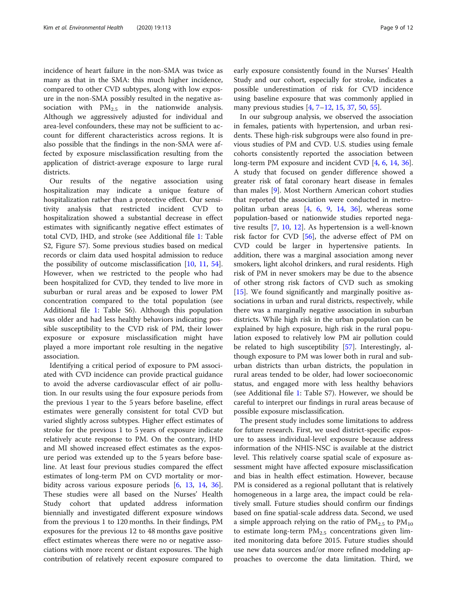incidence of heart failure in the non-SMA was twice as many as that in the SMA: this much higher incidence, compared to other CVD subtypes, along with low exposure in the non-SMA possibly resulted in the negative association with  $PM_{2.5}$  in the nationwide analysis. Although we aggressively adjusted for individual and area-level confounders, these may not be sufficient to account for different characteristics across regions. It is also possible that the findings in the non-SMA were affected by exposure misclassification resulting from the application of district-average exposure to large rural districts.

Our results of the negative association using hospitalization may indicate a unique feature of hospitalization rather than a protective effect. Our sensitivity analysis that restricted incident CVD to hospitalization showed a substantial decrease in effect estimates with significantly negative effect estimates of total CVD, IHD, and stroke (see Additional file [1:](#page-9-0) Table S2, Figure S7). Some previous studies based on medical records or claim data used hospital admission to reduce the possibility of outcome misclassification [[10](#page-10-0), [11](#page-10-0), [54](#page-11-0)]. However, when we restricted to the people who had been hospitalized for CVD, they tended to live more in suburban or rural areas and be exposed to lower PM concentration compared to the total population (see Additional file [1](#page-9-0): Table S6). Although this population was older and had less healthy behaviors indicating possible susceptibility to the CVD risk of PM, their lower exposure or exposure misclassification might have played a more important role resulting in the negative association.

Identifying a critical period of exposure to PM associated with CVD incidence can provide practical guidance to avoid the adverse cardiovascular effect of air pollution. In our results using the four exposure periods from the previous 1 year to the 5 years before baseline, effect estimates were generally consistent for total CVD but varied slightly across subtypes. Higher effect estimates of stroke for the previous 1 to 5 years of exposure indicate relatively acute response to PM. On the contrary, IHD and MI showed increased effect estimates as the exposure period was extended up to the 5 years before baseline. At least four previous studies compared the effect estimates of long-term PM on CVD mortality or morbidity across various exposure periods [\[6](#page-10-0), [13](#page-10-0), [14](#page-10-0), [36](#page-11-0)]. These studies were all based on the Nurses' Health Study cohort that updated address information biennially and investigated different exposure windows from the previous 1 to 120 months. In their findings, PM exposures for the previous 12 to 48 months gave positive effect estimates whereas there were no or negative associations with more recent or distant exposures. The high contribution of relatively recent exposure compared to

early exposure consistently found in the Nurses' Health Study and our cohort, especially for stroke, indicates a possible underestimation of risk for CVD incidence using baseline exposure that was commonly applied in many previous studies [[4,](#page-10-0) [7](#page-10-0)–[12,](#page-10-0) [15](#page-10-0), [37](#page-11-0), [50](#page-11-0), [55](#page-11-0)].

In our subgroup analysis, we observed the association in females, patients with hypertension, and urban residents. These high-risk subgroups were also found in previous studies of PM and CVD. U.S. studies using female cohorts consistently reported the association between long-term PM exposure and incident CVD [[4,](#page-10-0) [6,](#page-10-0) [14](#page-10-0), [36](#page-11-0)]. A study that focused on gender difference showed a greater risk of fatal coronary heart disease in females than males [\[9](#page-10-0)]. Most Northern American cohort studies that reported the association were conducted in metropolitan urban areas [\[4](#page-10-0), [6](#page-10-0), [9,](#page-10-0) [14,](#page-10-0) [36\]](#page-11-0), whereas some population-based or nationwide studies reported negative results [[7](#page-10-0), [10](#page-10-0), [12\]](#page-10-0). As hypertension is a well-known risk factor for CVD [\[56\]](#page-11-0), the adverse effect of PM on CVD could be larger in hypertensive patients. In addition, there was a marginal association among never smokers, light alcohol drinkers, and rural residents. High risk of PM in never smokers may be due to the absence of other strong risk factors of CVD such as smoking [[15\]](#page-10-0). We found significantly and marginally positive associations in urban and rural districts, respectively, while there was a marginally negative association in suburban districts. While high risk in the urban population can be explained by high exposure, high risk in the rural population exposed to relatively low PM air pollution could be related to high susceptibility [[57](#page-11-0)]. Interestingly, although exposure to PM was lower both in rural and suburban districts than urban districts, the population in rural areas tended to be older, had lower socioeconomic status, and engaged more with less healthy behaviors (see Additional file [1](#page-9-0): Table S7). However, we should be careful to interpret our findings in rural areas because of possible exposure misclassification.

The present study includes some limitations to address for future research. First, we used district-specific exposure to assess individual-level exposure because address information of the NHIS-NSC is available at the district level. This relatively coarse spatial scale of exposure assessment might have affected exposure misclassification and bias in health effect estimation. However, because PM is considered as a regional pollutant that is relatively homogeneous in a large area, the impact could be relatively small. Future studies should confirm our findings based on fine spatial-scale address data. Second, we used a simple approach relying on the ratio of  $PM_{2.5}$  to  $PM_{10}$ to estimate long-term  $PM_{2.5}$  concentrations given limited monitoring data before 2015. Future studies should use new data sources and/or more refined modeling approaches to overcome the data limitation. Third, we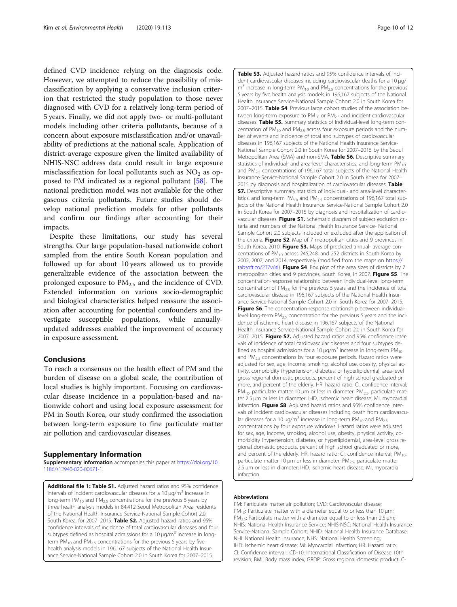<span id="page-9-0"></span>defined CVD incidence relying on the diagnosis code. However, we attempted to reduce the possibility of misclassification by applying a conservative inclusion criterion that restricted the study population to those never diagnosed with CVD for a relatively long-term period of 5 years. Finally, we did not apply two- or multi-pollutant models including other criteria pollutants, because of a concern about exposure misclassification and/or unavailability of predictions at the national scale. Application of district-average exposure given the limited availability of NHIS-NSC address data could result in large exposure misclassification for local pollutants such as  $NO<sub>2</sub>$  as opposed to PM indicated as a regional pollutant [\[58](#page-11-0)]. The national prediction model was not available for the other gaseous criteria pollutants. Future studies should develop national prediction models for other pollutants and confirm our findings after accounting for their impacts.

Despite these limitations, our study has several strengths. Our large population-based nationwide cohort sampled from the entire South Korean population and followed up for about 10 years allowed us to provide generalizable evidence of the association between the prolonged exposure to  $PM_{2.5}$  and the incidence of CVD. Extended information on various socio-demographic and biological characteristics helped reassure the association after accounting for potential confounders and investigate susceptible populations, while annuallyupdated addresses enabled the improvement of accuracy in exposure assessment.

### Conclusions

To reach a consensus on the health effect of PM and the burden of disease on a global scale, the contribution of local studies is highly important. Focusing on cardiovascular disease incidence in a population-based and nationwide cohort and using local exposure assessment for PM in South Korea, our study confirmed the association between long-term exposure to fine particulate matter air pollution and cardiovascular diseases.

### Supplementary Information

Supplementary information accompanies this paper at [https://doi.org/10.](https://doi.org/10.1186/s12940-020-00671-1) [1186/s12940-020-00671-1](https://doi.org/10.1186/s12940-020-00671-1).

Additional file 1: Table S1. Adjusted hazard ratios and 95% confidence intervals of incident cardiovascular diseases for a  $10 \mu g/m<sup>3</sup>$  increase in long-term  $PM_{10}$  and  $PM_{25}$  concentrations for the previous 5 years by three health analysis models in 84,412 Seoul Metropolitan Area residents of the National Health Insurance Service-National Sample Cohort 2.0, South Korea, for 2007-2015. Table S2. Adjusted hazard ratios and 95% confidence intervals of incidence of total cardiovascular diseases and four subtypes defined as hospital admissions for a  $10 \mu g/m<sup>3</sup>$  increase in longterm  $PM_{10}$  and  $PM_{25}$  concentrations for the previous 5 years by five health analysis models in 196,167 subjects of the National Health Insurance Service-National Sample Cohort 2.0 in South Korea for 2007–2015.

Table S3. Adjusted hazard ratios and 95% confidence intervals of incident cardiovascular diseases including cardiovascular deaths for a 10 μg/  $m<sup>3</sup>$  increase in long-term PM<sub>10</sub> and PM<sub>2.5</sub> concentrations for the previous 5 years by five health analysis models in 196,167 subjects of the National Health Insurance Service-National Sample Cohort 2.0 in South Korea for 2007–2015. Table S4. Previous large cohort studies of the association between long-term exposure to  $PM_{10}$  or  $PM_{25}$  and incident cardiovascular diseases. Table S5. Summary statistics of individual-level long-term concentration of  $PM_{10}$  and  $PM_{2.5}$  across four exposure periods and the number of events and incidence of total and subtypes of cardiovascular diseases in 196,167 subjects of the National Health Insurance Service-National Sample Cohort 2.0 in South Korea for 2007–2015 by the Seoul Metropolitan Area (SMA) and non-SMA. Table S6. Descriptive summary statistics of individual- and area-level characteristics, and long-term  $PM_{10}$ and PM<sub>2.5</sub> concentrations of 196,167 total subjects of the National Health Insurance Service-National Sample Cohort 2.0 in South Korea for 2007– 2015 by diagnosis and hospitalization of cardiovascular diseases. **Table** S7. Descriptive summary statistics of individual- and area-level characteristics, and long-term  $PM_{10}$  and  $PM_{25}$  concentrations of 196,167 total subjects of the National Health Insurance Service-National Sample Cohort 2.0 in South Korea for 2007–2015 by diagnosis and hospitalization of cardiovascular diseases. Figure S1. Schematic diagram of subject exclusion criteria and numbers of the National Health Insurance Service- National Sample Cohort 2.0 subjects included or excluded after the application of the criteria. Figure S2. Map of 7 metropolitan cities and 9 provinces in South Korea, 2010. Figure S3. Maps of predicted annual- average concentrations of  $PM_{10}$  across 245,248, and 252 districts in South Korea by 2002, 2007, and 2014, respectively (modified from the maps on [https://](https://tabsoft.co/2T7v6ti) [tabsoft.co/2T7v6ti](https://tabsoft.co/2T7v6ti)). Figure S4. Box plot of the area sizes of districts by 7 metropolitan cities and 9 provinces, South Korea, in 2007. Figure S5. The concentration-response relationship between individual-level long-term concentration of  $PM<sub>2.5</sub>$  for the previous 5 years and the incidence of total cardiovascular disease in 196,167 subjects of the National Health Insurance Service-National Sample Cohort 2.0 in South Korea for 2007–2015. Figure S6. The concentration-response relationship between individuallevel long-term  $PM_{2.5}$  concentration for the previous 5 years and the incidence of ischemic heart disease in 196,167 subjects of the National Health Insurance Service-National Sample Cohort 2.0 in South Korea for 2007–2015. Figure S7. Adjusted hazard ratios and 95% confidence intervals of incidence of total cardiovascular diseases and four subtypes defined as hospital admissions for a 10  $\mu$ g/m<sup>3</sup> increase in long-term PM<sub>10</sub> and  $PM<sub>2.5</sub>$  concentrations by four exposure periods. Hazard ratios were adjusted for sex, age, income, smoking, alcohol use, obesity, physical activity, comorbidity (hypertension, diabetes, or hyperlipidemia), area-level gross regional domestic products, percent of high school graduated or more, and percent of the elderly. HR, hazard ratio; CI, confidence interval; PM<sub>10</sub>, particulate matter 10 μm or less in diameter; PM<sub>2.5</sub>, particulate matter 2.5 μm or less in diameter; IHD, ischemic heart disease; MI, myocardial infarction. Figure S8. Adjusted hazard ratios and 95% confidence intervals of incident cardiovascular diseases including death from cardiovascular diseases for a 10  $\mu$ g/m<sup>3</sup> increase in long-term PM<sub>10</sub> and PM<sub>2.5</sub> concentrations by four exposure windows. Hazard ratios were adjusted for sex, age, income, smoking, alcohol use, obesity, physical activity, comorbidity (hypertension, diabetes, or hyperlipidemia), area-level gross regional domestic products, percent of high school graduated or more, and percent of the elderly. HR, hazard ratio; CI, confidence interval;  $PM_{10}$ , particulate matter 10 μm or less in diameter; PM<sub>2.5</sub>, particulate matter 2.5 μm or less in diameter; IHD, ischemic heart disease; MI, myocardial infarction.

#### Abbreviations

PM: Particulate matter air pollution; CVD: Cardiovascular disease; PM<sub>10</sub>: Particulate matter with a diameter equal to or less than 10  $\mu$ m; PM<sub>2.5</sub>: Particulate matter with a diameter equal to or less than 2.5  $\mu$ m; NHIS: National Health Insurance Service; NHIS-NSC: National Health Insurance Service-National Sample Cohort; NHID: National Health Insurance Database; NHI: National Health Insurance; NHS: National Health Screening; IHD: Ischemic heart disease; MI: Myocardial infarction; HR: Hazard ratio; CI: Confidence interval; ICD-10: International Classification of Disease 10th revision; BMI: Body mass index; GRDP: Gross regional domestic product; C-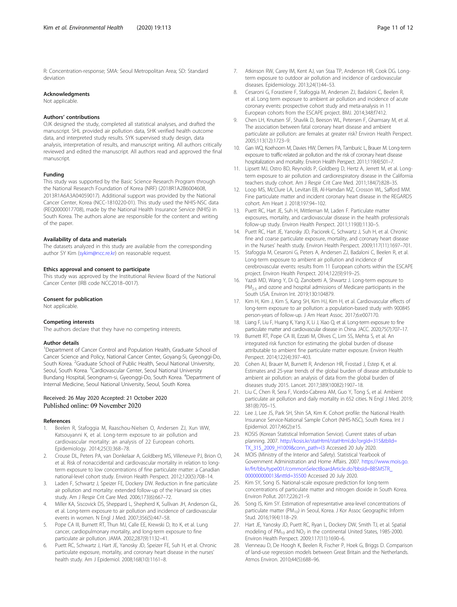<span id="page-10-0"></span>R: Concentration-response; SMA: Seoul Metropolitan Area; SD: Standard deviation

#### Acknowledgments

Not applicable.

#### Authors' contributions

OJK designed the study, completed all statistical analyses, and drafted the manuscript. SHL provided air pollution data, SHK verified health outcome data, and interpreted study results. SYK supervised study design, data analysis, interpretation of results, and manuscript writing. All authors critically reviewed and edited the manuscript. All authors read and approved the final manuscript.

### Funding

This study was supported by the Basic Science Research Program through the National Research Foundation of Korea (NRF) (2018R1A2B6004608, 2013R1A6A3A04059017). Additional support was provided by the National Cancer Center, Korea (NCC-1810220-01). This study used the NHIS-NSC data (REQ0000017708), made by the National Health Insurance Service (NHIS) in South Korea. The authors alone are responsible for the content and writing of the paper.

#### Availability of data and materials

The datasets analyzed in this study are available from the corresponding author SY Kim ([sykim@ncc.re.kr\)](mailto:sykim@ncc.re.kr) on reasonable request.

#### Ethics approval and consent to participate

This study was approved by the Institutional Review Board of the National Cancer Center (IRB code NCC2018–0017).

#### Consent for publication

Not applicable.

### Competing interests

The authors declare that they have no competing interests.

#### Author details

<sup>1</sup>Department of Cancer Control and Population Health, Graduate School of Cancer Science and Policy, National Cancer Center, Goyang-Si, Gyeonggi-Do, South Korea. <sup>2</sup>Graduate School of Public Health, Seoul National University, Seoul, South Korea. <sup>3</sup>Cardiovascular Center, Seoul National University Bundang Hospital, Seongnam-si, Gyeonggi-Do, South Korea. <sup>4</sup>Department of Internal Medicine, Seoul National University, Seoul, South Korea.

## Received: 26 May 2020 Accepted: 21 October 2020

#### References

- Beelen R, Stafoggia M, Raaschou-Nielsen O, Andersen ZJ, Xun WW, Katsouyanni K, et al. Long-term exposure to air pollution and cardiovascular mortality: an analysis of 22 European cohorts. Epidemiology. 2014;25(3):368–78.
- 2. Crouse DL, Peters PA, van Donkelaar A, Goldberg MS, Villeneuve PJ, Brion O, et al. Risk of nonaccidental and cardiovascular mortality in relation to longterm exposure to low concentrations of fine particulate matter: a Canadian national-level cohort study. Environ Health Perspect. 2012;120(5):708–14.
- Laden F, Schwartz J, Speizer FE, Dockery DW. Reduction in fine particulate air pollution and mortality: extended follow-up of the Harvard six cities study. Am J Respir Crit Care Med. 2006;173(6):667–72.
- 4. Miller KA, Siscovick DS, Sheppard L, Shepherd K, Sullivan JH, Anderson GL, et al. Long-term exposure to air pollution and incidence of cardiovascular events in women. N Engl J Med. 2007;356(5):447–58.
- 5. Pope CA III, Burnett RT, Thun MJ, Calle EE, Krewski D, Ito K, et al. Lung cancer, cardiopulmonary mortality, and long-term exposure to fine particulate air pollution. JAMA. 2002;287(9):1132–41.
- Puett RC, Schwartz J, Hart JE, Yanosky JD, Speizer FE, Suh H, et al. Chronic particulate exposure, mortality, and coronary heart disease in the nurses' health study. Am J Epidemiol. 2008;168(10):1161–8.
- 8. Cesaroni G, Forastiere F, Stafoggia M, Andersen ZJ, Badaloni C, Beelen R, et al. Long term exposure to ambient air pollution and incidence of acute coronary events: prospective cohort study and meta-analysis in 11 European cohorts from the ESCAPE project. BMJ. 2014;348:f7412.
- 9. Chen LH, Knutsen SF, Shavlik D, Beeson WL, Petersen F, Ghamsary M, et al. The association between fatal coronary heart disease and ambient particulate air pollution: are females at greater risk? Environ Health Perspect. 2005;113(12):1723–9.
- 10. Gan WQ, Koehoorn M, Davies HW, Demers PA, Tamburic L, Brauer M. Long-term exposure to traffic-related air pollution and the risk of coronary heart disease hospitalization and mortality. Environ Health Perspect. 2011;119(4):501–7.
- 11. Lipsett MJ, Ostro BD, Reynolds P, Goldberg D, Hertz A, Jerrett M, et al. Longterm exposure to air pollution and cardiorespiratory disease in the California teachers study cohort. Am J Respir Crit Care Med. 2011;184(7):828–35.
- 12. Loop MS, McClure LA, Levitan EB, Al-Hamdan MZ, Crosson WL, Safford MM. Fine particulate matter and incident coronary heart disease in the REGARDS cohort. Am Heart J. 2018;197:94–102.
- 13. Puett RC, Hart JE, Suh H, Mittleman M, Laden F. Particulate matter exposures, mortality, and cardiovascular disease in the health professionals follow-up study. Environ Health Perspect. 2011;119(8):1130–5.
- 14. Puett RC, Hart JE, Yanosky JD, Paciorek C, Schwartz J, Suh H, et al. Chronic fine and coarse particulate exposure, mortality, and coronary heart disease in the Nurses' health study. Environ Health Perspect. 2009;117(11):1697–701.
- 15. Stafoggia M, Cesaroni G, Peters A, Andersen ZJ, Badaloni C, Beelen R, et al. Long-term exposure to ambient air pollution and incidence of cerebrovascular events: results from 11 European cohorts within the ESCAPE project. Environ Health Perspect. 2014;122(9):919–25.
- 16. Yazdi MD, Wang Y, Di Q, Zanobetti A, Shwartz J. Long-term exposure to PM<sub>2.5</sub> and ozone and hospital admissions of Medicare participants in the South USA. Environ Int. 2019;130:104879.
- 17. Kim H, Kim J, Kim S, Kang SH, Kim HJ, Kim H, et al. Cardiovascular effects of long-term exposure to air pollution: a population-based study with 900845 person-years of follow-up. J Am Heart Assoc. 2017;6:e007170.
- 18. Liang F, Liu F, Huang K, Yang X, Li J, Xiao Q, et al. Long-term exposure to fine particulate matter and cardiovascular disease in China. JACC. 2020;75(7):707–17.
- 19. Burnett RT, Pope CA III, Ezzati M, Olives C, Lim SS, Mehta S, et al. An integrated risk function for estimating the global burden of disease attributable to ambient fine particulate matter exposure. Environ Health Perspect. 2014;122(4):397–403.
- 20. Cohen AJ, Brauer M, Burnett R, Anderson HR, Frostad J, Estep K, et al. Estimates and 25-year trends of the global burden of disease attributable to ambient air pollution: an analysis of data from the global burden of diseases study 2015. Lancet. 2017;389(10082):1907–18.
- 21. Liu C, Chen R, Sera F, Vicedo-Cabrera AM, Guo Y, Tong S, et al. Ambient particulate air pollution and daily mortality in 652 cities. N Engl J Med. 2019; 381(8):705–15.
- 22. Lee J, Lee JS, Park SH, Shin SA, Kim K. Cohort profile: the National Health Insurance Service-National Sample Cohort (NHIS-NSC), South Korea. Int J Epidemiol. 2017;46(2):e15.
- 23. KOSIS (Korean Statistical Information Service). Current states of urban planning. 2007. [http://kosis.kr/statHtml/statHtml.do?orgId=315&tblId=](http://kosis.kr/statHtml/statHtml.do?orgId=315&tblId=TX_315_2009_H1009&conn_path=I3) [TX\\_315\\_2009\\_H1009&conn\\_path=I3](http://kosis.kr/statHtml/statHtml.do?orgId=315&tblId=TX_315_2009_H1009&conn_path=I3) Accessed 20 July 2020.
- 24. MOIS (Ministry of the Interior and Safety). Statistical Yearbook of Government Administration and Home Affairs. 2007. [https://www.mois.go.](https://www.mois.go.kr/frt/bbs/type001/commonSelectBoardArticle.do?bbsId=BBSMSTR_000000000013&nttId=35500) [kr/frt/bbs/type001/commonSelectBoardArticle.do?bbsId=BBSMSTR\\_](https://www.mois.go.kr/frt/bbs/type001/commonSelectBoardArticle.do?bbsId=BBSMSTR_000000000013&nttId=35500) [000000000013&nttId=35500](https://www.mois.go.kr/frt/bbs/type001/commonSelectBoardArticle.do?bbsId=BBSMSTR_000000000013&nttId=35500) Accessed 20 July 2020.
- 25. Kim SY, Song IS. National-scale exposure prediction for long-term concentrations of particulate matter and nitrogen dioxide in South Korea. Environ Pollut. 2017;226:21–9.
- 26. Song IS, Kim SY. Estimation of representative area-level concentrations of particulate matter (PM<sub>10</sub>) in Seoul, Korea. J Kor Assoc Geographic Inform Stud. 2016;19(4):118–29.
- 27. Hart JE, Yanosky JD, Puett RC, Ryan L, Dockery DW, Smith TJ, et al. Spatial modeling of  $PM_{10}$  and  $NO<sub>2</sub>$  in the continental United States, 1985-2000. Environ Health Perspect. 2009;117(11):1690–6.
- 28. Vienneau D, De Hoogh K, Beelen R, Fischer P, Hoek G, Briggs D. Comparison of land-use regression models between Great Britain and the Netherlands. Atmos Environ. 2010;44(5):688–96.